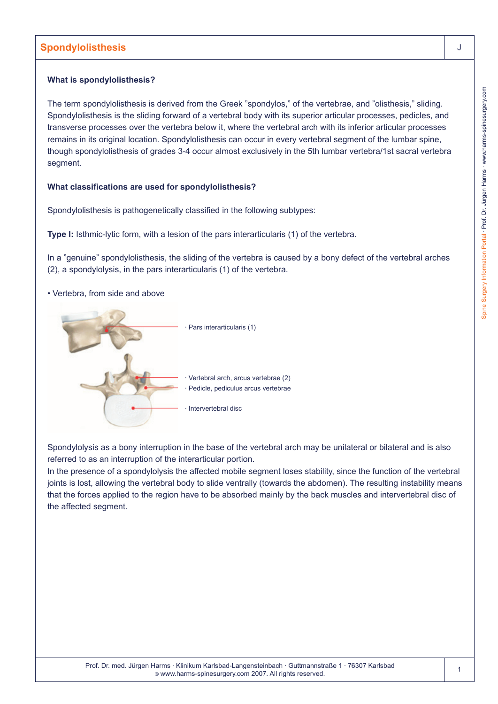### **What is spondylolisthesis?**

The term spondylolisthesis is derived from the Greek "spondylos," of the vertebrae, and "olisthesis," sliding. Spondylolisthesis is the sliding forward of a vertebral body with its superior articular processes, pedicles, and transverse processes over the vertebra below it, where the vertebral arch with its inferior articular processes remains in its original location. Spondylolisthesis can occur in every vertebral segment of the lumbar spine, though spondylolisthesis of grades 3-4 occur almost exclusively in the 5th lumbar vertebra/1st sacral vertebra segment.

## **What classifications are used for spondylolisthesis?**

Spondylolisthesis is pathogenetically classified in the following subtypes:

**Type I:** Isthmic-lytic form, with a lesion of the pars interarticularis (1) of the vertebra.

In a "genuine" spondylolisthesis, the sliding of the vertebra is caused by a bony defect of the vertebral arches (2), a spondylolysis, in the pars interarticularis (1) of the vertebra.

• Vertebra, from side and above



Spondylolysis as a bony interruption in the base of the vertebral arch may be unilateral or bilateral and is also referred to as an interruption of the interarticular portion.

In the presence of a spondylolysis the affected mobile segment loses stability, since the function of the vertebral joints is lost, allowing the vertebral body to slide ventrally (towards the abdomen). The resulting instability means that the forces applied to the region have to be absorbed mainly by the back muscles and intervertebral disc of the affected segment.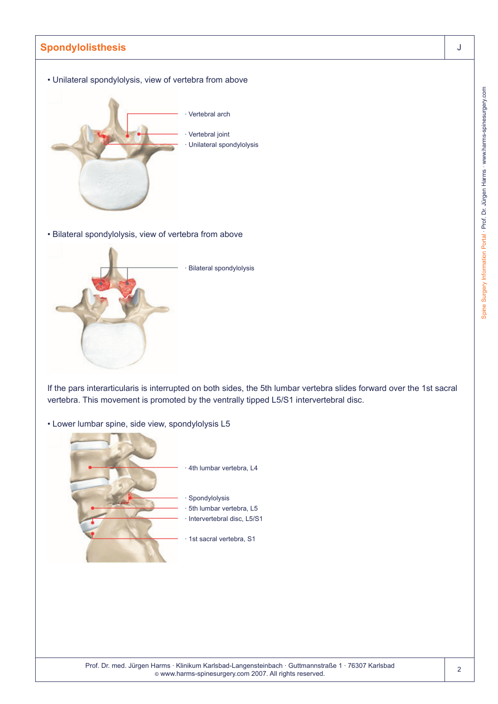

Spine Surgery Information Portal - Prof. Dr. Jürgen Harms - www.harms-spinesurgery.com Spine Surgery Information Portal · Prof. Dr. Jürgen Harms · www.harms-spinesurgery.com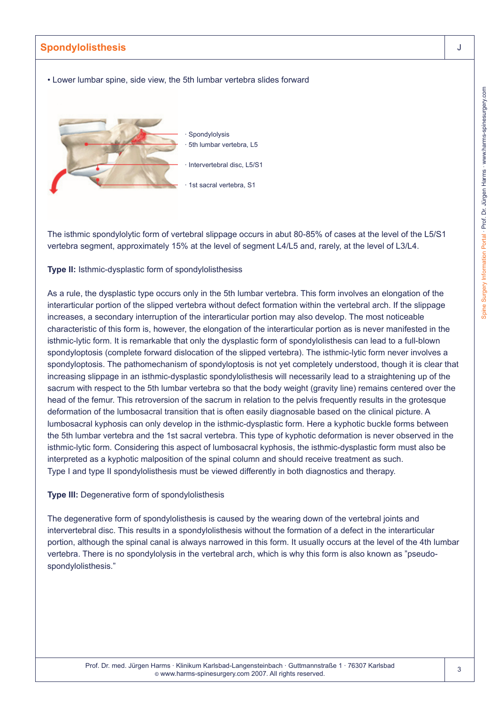• Lower lumbar spine, side view, the 5th lumbar vertebra slides forward



The isthmic spondylolytic form of vertebral slippage occurs in abut 80-85% of cases at the level of the L5/S1 vertebra segment, approximately 15% at the level of segment L4/L5 and, rarely, at the level of L3/L4.

**Type II:** Isthmic-dysplastic form of spondylolisthesiss

As a rule, the dysplastic type occurs only in the 5th lumbar vertebra. This form involves an elongation of the interarticular portion of the slipped vertebra without defect formation within the vertebral arch. If the slippage increases, a secondary interruption of the interarticular portion may also develop. The most noticeable characteristic of this form is, however, the elongation of the interarticular portion as is never manifested in the isthmic-lytic form. It is remarkable that only the dysplastic form of spondylolisthesis can lead to a full-blown spondyloptosis (complete forward dislocation of the slipped vertebra). The isthmic-lytic form never involves a spondyloptosis. The pathomechanism of spondyloptosis is not yet completely understood, though it is clear that increasing slippage in an isthmic-dysplastic spondylolisthesis will necessarily lead to a straightening up of the sacrum with respect to the 5th lumbar vertebra so that the body weight (gravity line) remains centered over the head of the femur. This retroversion of the sacrum in relation to the pelvis frequently results in the grotesque deformation of the lumbosacral transition that is often easily diagnosable based on the clinical picture. A lumbosacral kyphosis can only develop in the isthmic-dysplastic form. Here a kyphotic buckle forms between the 5th lumbar vertebra and the 1st sacral vertebra. This type of kyphotic deformation is never observed in the isthmic-lytic form. Considering this aspect of lumbosacral kyphosis, the isthmic-dysplastic form must also be interpreted as a kyphotic malposition of the spinal column and should receive treatment as such. Type I and type II spondylolisthesis must be viewed differently in both diagnostics and therapy.

#### **Type III:** Degenerative form of spondylolisthesis

The degenerative form of spondylolisthesis is caused by the wearing down of the vertebral joints and intervertebral disc. This results in a spondylolisthesis without the formation of a defect in the interarticular portion, although the spinal canal is always narrowed in this form. It usually occurs at the level of the 4th lumbar vertebra. There is no spondylolysis in the vertebral arch, which is why this form is also known as "pseudospondylolisthesis."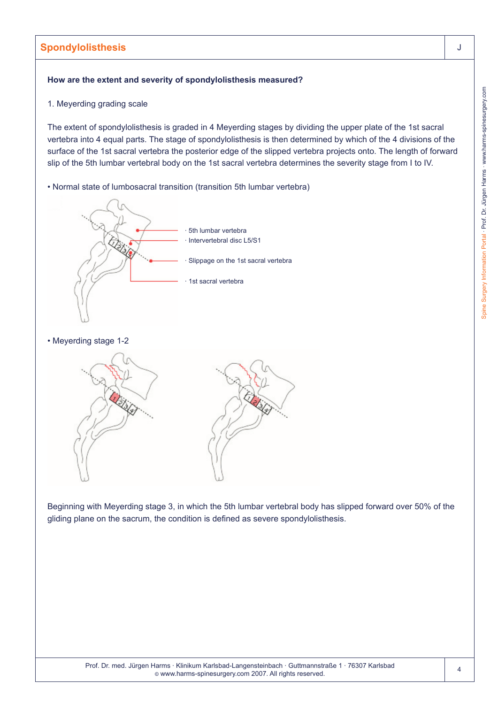#### **How are the extent and severity of spondylolisthesis measured?**

1. Meyerding grading scale

The extent of spondylolisthesis is graded in 4 Meyerding stages by dividing the upper plate of the 1st sacral vertebra into 4 equal parts. The stage of spondylolisthesis is then determined by which of the 4 divisions of the surface of the 1st sacral vertebra the posterior edge of the slipped vertebra projects onto. The length of forward slip of the 5th lumbar vertebral body on the 1st sacral vertebra determines the severity stage from I to IV.

• Normal state of lumbosacral transition (transition 5th lumbar vertebra)



• Meyerding stage 1-2



Beginning with Meyerding stage 3, in which the 5th lumbar vertebral body has slipped forward over 50% of the gliding plane on the sacrum, the condition is defined as severe spondylolisthesis.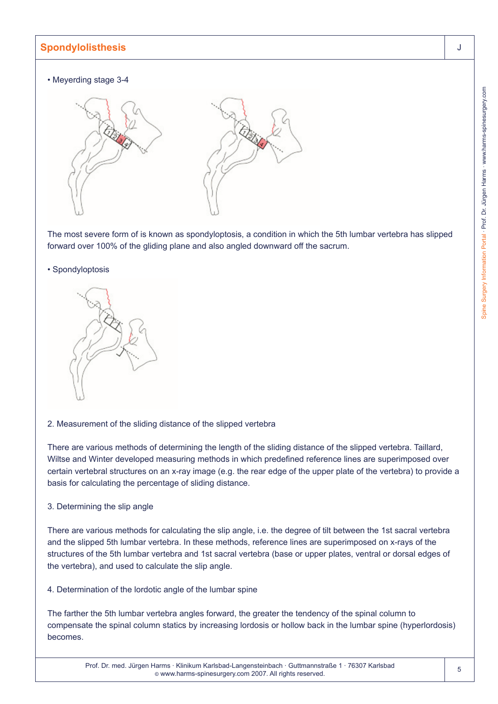### • Meyerding stage 3-4



The most severe form of is known as spondyloptosis, a condition in which the 5th lumbar vertebra has slipped forward over 100% of the gliding plane and also angled downward off the sacrum.

### • Spondyloptosis



## 2. Measurement of the sliding distance of the slipped vertebra

There are various methods of determining the length of the sliding distance of the slipped vertebra. Taillard, Wiltse and Winter developed measuring methods in which predefined reference lines are superimposed over certain vertebral structures on an x-ray image (e.g. the rear edge of the upper plate of the vertebra) to provide a basis for calculating the percentage of sliding distance.

### 3. Determining the slip angle

There are various methods for calculating the slip angle, i.e. the degree of tilt between the 1st sacral vertebra and the slipped 5th lumbar vertebra. In these methods, reference lines are superimposed on x-rays of the structures of the 5th lumbar vertebra and 1st sacral vertebra (base or upper plates, ventral or dorsal edges of the vertebra), and used to calculate the slip angle.

## 4. Determination of the lordotic angle of the lumbar spine

The farther the 5th lumbar vertebra angles forward, the greater the tendency of the spinal column to compensate the spinal column statics by increasing lordosis or hollow back in the lumbar spine (hyperlordosis) becomes.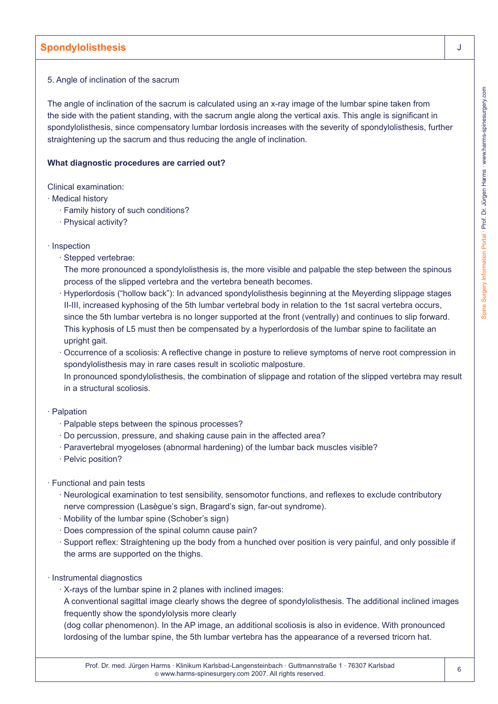### 5. Angle of inclination of the sacrum

The angle of inclination of the sacrum is calculated using an x-ray image of the lumbar spine taken from the side with the patient standing, with the sacrum angle along the vertical axis. This angle is significant in spondylolisthesis, since compensatory lumbar lordosis increases with the severity of spondylolisthesis, further straightening up the sacrum and thus reducing the angle of inclination.

#### **What diagnostic procedures are carried out?**

Clinical examination:

- · Medical history
	- · Family history of such conditions?
	- · Physical activity?
- · Inspection
	- · Stepped vertebrae:

The more pronounced a spondylolisthesis is, the more visible and palpable the step between the spinous process of the slipped vertebra and the vertebra beneath becomes.

- · Hyperlordosis ("hollow back"): In advanced spondylolisthesis beginning at the Meyerding slippage stages II-III, increased kyphosing of the 5th lumbar vertebral body in relation to the 1st sacral vertebra occurs, since the 5th lumbar vertebra is no longer supported at the front (ventrally) and continues to slip forward. This kyphosis of L5 must then be compensated by a hyperlordosis of the lumbar spine to facilitate an upright gait.
- · Occurrence of a scoliosis: A reflective change in posture to relieve symptoms of nerve root compression in spondylolisthesis may in rare cases result in scoliotic malposture. In pronounced spondylolisthesis, the combination of slippage and rotation of the slipped vertebra may result in a structural scoliosis.
- · Palpation
	- · Palpable steps between the spinous processes?
	- · Do percussion, pressure, and shaking cause pain in the affected area?
	- · Paravertebral myogeloses (abnormal hardening) of the lumbar back muscles visible?
	- · Pelvic position?
- · Functional and pain tests
	- · Neurological examination to test sensibility, sensomotor functions, and reflexes to exclude contributory nerve compression (Lasègue's sign, Bragard's sign, far-out syndrome).
	- · Mobility of the lumbar spine (Schober's sign)
	- · Does compression of the spinal column cause pain?
	- · Support reflex: Straightening up the body from a hunched over position is very painful, and only possible if the arms are supported on the thighs.
- · Instrumental diagnostics
	- · X-rays of the lumbar spine in 2 planes with inclined images:
	- A conventional sagittal image clearly shows the degree of spondylolisthesis. The additional inclined images frequently show the spondylolysis more clearly
	- (dog collar phenomenon). In the AP image, an additional scoliosis is also in evidence. With pronounced lordosing of the lumbar spine, the 5th lumbar vertebra has the appearance of a reversed tricorn hat.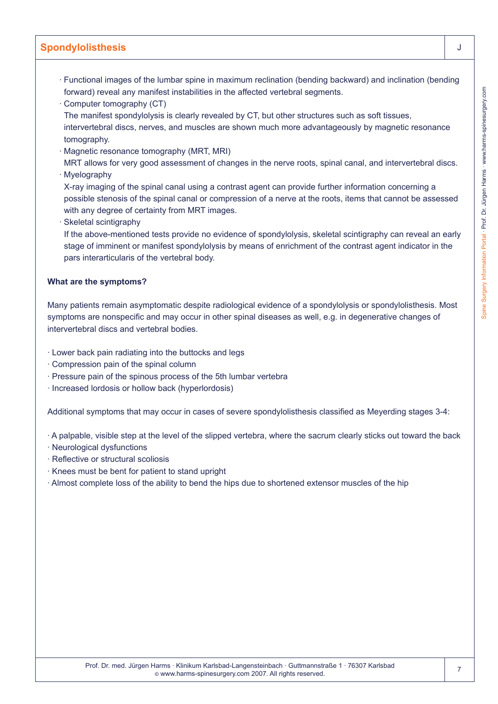- · Functional images of the lumbar spine in maximum reclination (bending backward) and inclination (bending forward) reveal any manifest instabilities in the affected vertebral segments.
- · Computer tomography (CT)
- The manifest spondylolysis is clearly revealed by CT, but other structures such as soft tissues, intervertebral discs, nerves, and muscles are shown much more advantageously by magnetic resonance tomography.
- · Magnetic resonance tomography (MRT, MRI)

MRT allows for very good assessment of changes in the nerve roots, spinal canal, and intervertebral discs. · Myelography

- X-ray imaging of the spinal canal using a contrast agent can provide further information concerning a possible stenosis of the spinal canal or compression of a nerve at the roots, items that cannot be assessed with any degree of certainty from MRT images.
- · Skeletal scintigraphy
- If the above-mentioned tests provide no evidence of spondylolysis, skeletal scintigraphy can reveal an early stage of imminent or manifest spondylolysis by means of enrichment of the contrast agent indicator in the pars interarticularis of the vertebral body.

#### **What are the symptoms?**

Many patients remain asymptomatic despite radiological evidence of a spondylolysis or spondylolisthesis. Most symptoms are nonspecific and may occur in other spinal diseases as well, e.g. in degenerative changes of intervertebral discs and vertebral bodies.

- · Lower back pain radiating into the buttocks and legs
- · Compression pain of the spinal column
- · Pressure pain of the spinous process of the 5th lumbar vertebra
- · Increased lordosis or hollow back (hyperlordosis)

Additional symptoms that may occur in cases of severe spondylolisthesis classified as Meyerding stages 3-4:

· A palpable, visible step at the level of the slipped vertebra, where the sacrum clearly sticks out toward the back

- · Neurological dysfunctions
- · Reflective or structural scoliosis
- · Knees must be bent for patient to stand upright
- · Almost complete loss of the ability to bend the hips due to shortened extensor muscles of the hip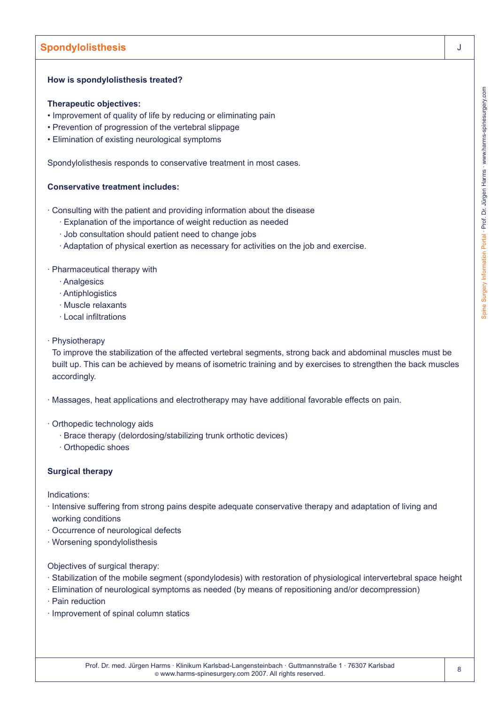### **How is spondylolisthesis treated?**

#### **Therapeutic objectives:**

- Improvement of quality of life by reducing or eliminating pain
- Prevention of progression of the vertebral slippage
- Elimination of existing neurological symptoms

Spondylolisthesis responds to conservative treatment in most cases.

### **Conservative treatment includes:**

· Consulting with the patient and providing information about the disease

- · Explanation of the importance of weight reduction as needed
- · Job consultation should patient need to change jobs
- · Adaptation of physical exertion as necessary for activities on the job and exercise.

#### · Pharmaceutical therapy with

- · Analgesics
- · Antiphlogistics
- · Muscle relaxants
- · Local infiltrations
- · Physiotherapy

To improve the stabilization of the affected vertebral segments, strong back and abdominal muscles must be built up. This can be achieved by means of isometric training and by exercises to strengthen the back muscles accordingly.

· Massages, heat applications and electrotherapy may have additional favorable effects on pain.

- · Orthopedic technology aids
	- · Brace therapy (delordosing/stabilizing trunk orthotic devices)
	- · Orthopedic shoes

### **Surgical therapy**

Indications:

- · Intensive suffering from strong pains despite adequate conservative therapy and adaptation of living and working conditions
- · Occurrence of neurological defects
- · Worsening spondylolisthesis

Objectives of surgical therapy:

- · Stabilization of the mobile segment (spondylodesis) with restoration of physiological intervertebral space height
- · Elimination of neurological symptoms as needed (by means of repositioning and/or decompression)
- · Pain reduction
- · Improvement of spinal column statics